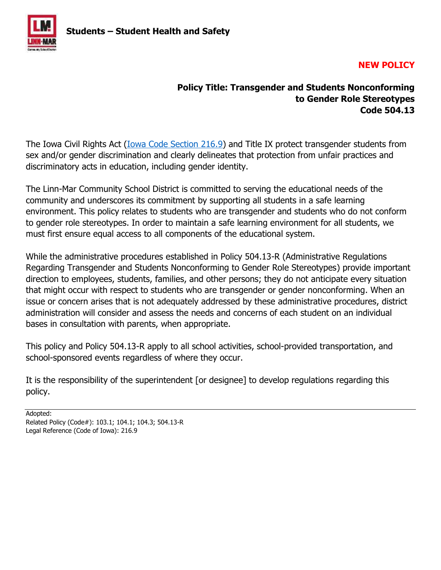

# **NEW POLICY**

# **Policy Title: Transgender and Students Nonconforming to Gender Role Stereotypes Code 504.13**

The Iowa Civil Rights Act [\(Iowa Code Section 216.9\)](https://icrc.iowa.gov/your-rights/iowa-civil-rights-act) and Title IX protect transgender students from sex and/or gender discrimination and clearly delineates that protection from unfair practices and discriminatory acts in education, including gender identity.

The Linn-Mar Community School District is committed to serving the educational needs of the community and underscores its commitment by supporting all students in a safe learning environment. This policy relates to students who are transgender and students who do not conform to gender role stereotypes. In order to maintain a safe learning environment for all students, we must first ensure equal access to all components of the educational system.

While the administrative procedures established in Policy 504.13-R (Administrative Regulations Regarding Transgender and Students Nonconforming to Gender Role Stereotypes) provide important direction to employees, students, families, and other persons; they do not anticipate every situation that might occur with respect to students who are transgender or gender nonconforming. When an issue or concern arises that is not adequately addressed by these administrative procedures, district administration will consider and assess the needs and concerns of each student on an individual bases in consultation with parents, when appropriate.

This policy and Policy 504.13-R apply to all school activities, school-provided transportation, and school-sponsored events regardless of where they occur.

It is the responsibility of the superintendent [or designee] to develop regulations regarding this policy.

Adopted: Related Policy (Code#): 103.1; 104.1; 104.3; 504.13-R Legal Reference (Code of Iowa): 216.9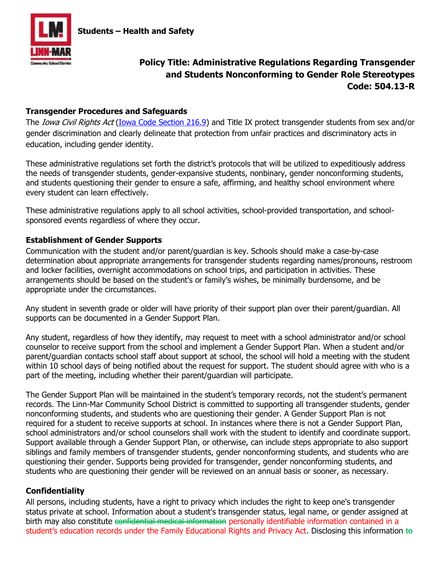

# **Policy Title: Administrative Regulations Regarding Transgender and Students Nonconforming to Gender Role Stereotypes Code: 504.13-R**

## **Transgender Procedures and Safeguards**

The *Iowa Civil Rights Act* [\(Iowa Code Section 216.9\)](https://icrc.iowa.gov/your-rights/iowa-civil-rights-act) and Title IX protect transgender students from sex and/or gender discrimination and clearly delineate that protection from unfair practices and discriminatory acts in education, including gender identity.

These administrative regulations set forth the district's protocols that will be utilized to expeditiously address the needs of transgender students, gender-expansive students, nonbinary, gender nonconforming students, and students questioning their gender to ensure a safe, affirming, and healthy school environment where every student can learn effectively.

These administrative regulations apply to all school activities, school-provided transportation, and schoolsponsored events regardless of where they occur.

## **Establishment of Gender Supports**

Communication with the student and/or parent/guardian is key. Schools should make a case-by-case determination about appropriate arrangements for transgender students regarding names/pronouns, restroom and locker facilities, overnight accommodations on school trips, and participation in activities. These arrangements should be based on the student's or family's wishes, be minimally burdensome, and be appropriate under the circumstances.

Any student in seventh grade or older will have priority of their support plan over their parent/guardian. All supports can be documented in a Gender Support Plan.

Any student, regardless of how they identify, may request to meet with a school administrator and/or school counselor to receive support from the school and implement a Gender Support Plan. When a student and/or parent/guardian contacts school staff about support at school, the school will hold a meeting with the student within 10 school days of being notified about the request for support. The student should agree with who is a part of the meeting, including whether their parent/guardian will participate.

The Gender Support Plan will be maintained in the student's temporary records, not the student's permanent records. The Linn-Mar Community School District is committed to supporting all transgender students, gender nonconforming students, and students who are questioning their gender. A Gender Support Plan is not required for a student to receive supports at school. In instances where there is not a Gender Support Plan, school administrators and/or school counselors shall work with the student to identify and coordinate support. Support available through a Gender Support Plan, or otherwise, can include steps appropriate to also support siblings and family members of transgender students, gender nonconforming students, and students who are questioning their gender. Supports being provided for transgender, gender nonconforming students, and students who are questioning their gender will be reviewed on an annual basis or sooner, as necessary.

## **Confidentiality**

All persons, including students, have a right to privacy which includes the right to keep one's transgender status private at school. Information about a student's transgender status, legal name, or gender assigned at birth may also constitute confidential medical information personally identifiable information contained in a student's education records under the Family Educational Rights and Privacy Act. Disclosing this information  $\bigstar$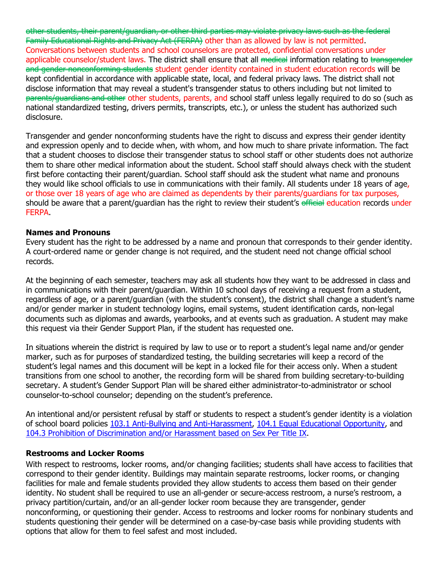other students, their parent/guardian, or other third parties may violate privacy laws such as the federal Family Educational Rights and Privacy Act (FERPA) other than as allowed by law is not permitted. Conversations between students and school counselors are protected, confidential conversations under applicable counselor/student laws. The district shall ensure that all medical information relating to transgender and gender nonconforming students student gender identity contained in student education records will be kept confidential in accordance with applicable state, local, and federal privacy laws. The district shall not disclose information that may reveal a student's transgender status to others including but not limited to parents/guardians and other other students, parents, and school staff unless legally required to do so (such as national standardized testing, drivers permits, transcripts, etc.), or unless the student has authorized such disclosure.

Transgender and gender nonconforming students have the right to discuss and express their gender identity and expression openly and to decide when, with whom, and how much to share private information. The fact that a student chooses to disclose their transgender status to school staff or other students does not authorize them to share other medical information about the student. School staff should always check with the student first before contacting their parent/guardian. School staff should ask the student what name and pronouns they would like school officials to use in communications with their family. All students under 18 years of age, or those over 18 years of age who are claimed as dependents by their parents/guardians for tax purposes, should be aware that a parent/guardian has the right to review their student's efficial education records under **FERPA** 

#### **Names and Pronouns**

Every student has the right to be addressed by a name and pronoun that corresponds to their gender identity. A court-ordered name or gender change is not required, and the student need not change official school records.

At the beginning of each semester, teachers may ask all students how they want to be addressed in class and in communications with their parent/guardian. Within 10 school days of receiving a request from a student, regardless of age, or a parent/guardian (with the student's consent), the district shall change a student's name and/or gender marker in student technology logins, email systems, student identification cards, non-legal documents such as diplomas and awards, yearbooks, and at events such as graduation. A student may make this request via their Gender Support Plan, if the student has requested one.

In situations wherein the district is required by law to use or to report a student's legal name and/or gender marker, such as for purposes of standardized testing, the building secretaries will keep a record of the student's legal names a[nd this document will be kept](http://policy.linnmar.k12.ia.us/policy/104-anti-bullyingharassment-policy) in a locked [file for their access only.](http://policy.linnmar.k12.ia.us/policy/1051-equal-educational-opportunity) When a student [transitions from one school to another, the recording form](http://policy.linnmar.k12.ia.us/policy/1043-prohibition-discrimination-andor-harassment-based-sex-title-ix) will be shared from building secretary-to-building secretary. A student's Gender Support Plan will be shared either administrator-to-administrator or school counselor-to-school counselor; depending on the student's preference.

An intentional and/or persistent refusal by staff or students to respect a student's gender identity is a violation of school board policies 103.1 Anti-Bullying and Anti-Harassment, 104.1 Equal Educational Opportunity, and 104.3 Prohibition of Discrimination and/or Harassment based on Sex Per Title IX.

#### **Restrooms and Locker Rooms**

With respect to restrooms, locker rooms, and/or changing facilities; students shall have access to facilities that correspond to their gender identity. Buildings may maintain separate restrooms, locker rooms, or changing facilities for male and female students provided they allow students to access them based on their gender identity. No student shall be required to use an all-gender or secure-access restroom, a nurse's restroom, a privacy partition/curtain, and/or an all-gender locker room because they are transgender, gender nonconforming, or questioning their gender. Access to restrooms and locker rooms for nonbinary students and students questioning their gender will be determined on a case-by-case basis while providing students with options that allow for them to feel safest and most included.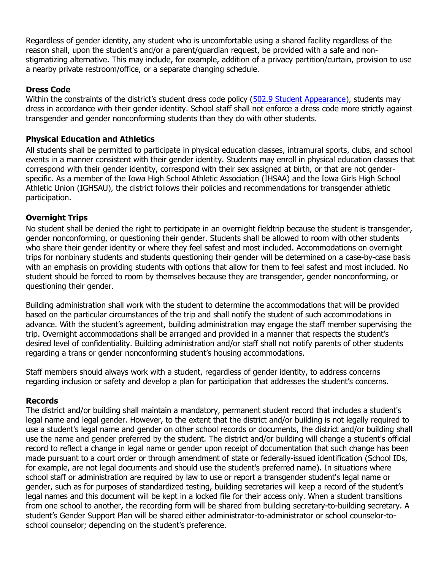Regardless of gender identity, any student who is uncomfortabl[e using a shared facility rega](http://policy.linnmar.k12.ia.us/policy/5029-student-appearance)rdless of the reason shall, upon the student's and/or a parent/guardian request, be provided with a safe and nonstigmatizing alternative. This may include, for example, addition of a privacy partition/curtain, provision to use a nearby private restroom/office, or a separate changing schedule.

#### **Dress Code**

Within the constraints of the district's student dress code policy (502.9 Student Appearance), students may dress in accordance with their gender identity. School staff shall not enforce a dress code more strictly against transgender and gender nonconforming students than they do with other students.

#### **Physical Education and Athletics**

All students shall be permitted to participate in physical education classes, intramural sports, clubs, and school events in a manner consistent with their gender identity. Students may enroll in physical education classes that correspond with their gender identity, correspond with their sex assigned at birth, or that are not genderspecific. As a member of the Iowa High School Athletic Association (IHSAA) and the Iowa Girls High School Athletic Union (IGHSAU), the district follows their policies and recommendations for transgender athletic participation.

## **Overnight Trips**

No student shall be denied the right to participate in an overnight fieldtrip because the student is transgender, gender nonconforming, or questioning their gender. Students shall be allowed to room with other students who share their gender identity or where they feel safest and most included. Accommodations on overnight trips for nonbinary students and students questioning their gender will be determined on a case-by-case basis with an emphasis on providing students with options that allow for them to feel safest and most included. No student should be forced to room by themselves because they are transgender, gender nonconforming, or questioning their gender.

Building administration shall work with the student to determine the accommodations that will be provided based on the particular circumstances of the trip and shall notify the student of such accommodations in advance. With the student's agreement, building administration may engage the staff member supervising the trip. Overnight accommodations shall be arranged and provided in a manner that respects the student's desired level of confidentiality. Building administration and/or staff shall not notify parents of other students regarding a trans or gender nonconforming student's housing accommodations.

Staff members should always work with a student, regardless of gender identity, to address concerns regarding inclusion or safety and develop a plan for participation that addresses the student's concerns.

#### **Records**

The district and/or building shall maintain a mandatory, permanent student record that includes a student's legal name and legal gender. However, to the extent that the district and/or building is not legally required to use a student's legal name and gender on other school records or documents, the district and/or building shall use the nam[e and gender preferred by the student. T](https://linnmarcsd-my.sharepoint.com/:w:/g/personal/lbreitfelder_linnmar_k12_ia_us/EWO83Z3I5WpCgCIPXw3bUekB5opciugX1xSiM1JDsTHP5A?e=jG84te&wdLOR=cC56BAE2C-FC05-4437-A9EF-947F36437079)he district and/or building will change a student's official record to reflect a change in legal name or gender upon receipt of documentation that such change has been made pursuant to a court order or through amendment of state or federally-issued identification (School IDs, for example, are not legal documents and should use the student's preferred name). In situations where school staff or administration are required by law to use or report a transgender student's legal name or gender, such as for purposes of standardized testing, building secretaries will keep a record of the student's legal names and this document will be kept in a locked file for their access only. When a student transitions from one school to another, the recording form will be shared from building secretary-to-building secretary. A student's Gender Support Plan will be shared either administrator-to-administrator or school counselor-toschool counselor; depending on the student's preference.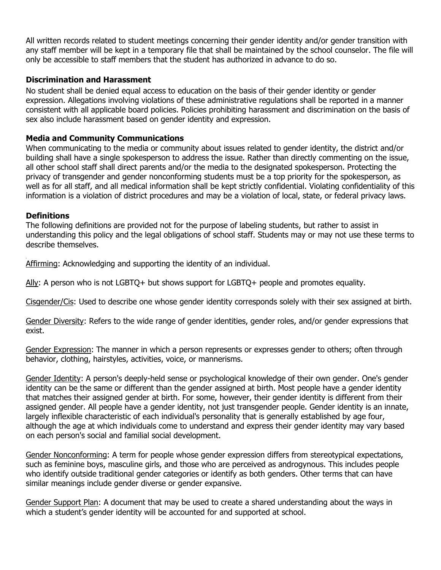All written records related to student meetings concerning their gender identity and/or gender transition with any staff member will be kept in a temporary file that shall be maintained by the school counselor. The file will only be accessible to staff members that the student has authorized in advance to do so.

#### **Discrimination and Harassment**

No student shall be denied equal access to education on the basis of their gender identity or gender expression. Allegations involving violations of these administrative regulations shall be reported in a manner consistent with all applicable board policies. Policies prohibiting harassment and discrimination on the basis of sex also include harassment based on gender identity and expression.

#### **Media and Community Communications**

When communicating to the media or community about issues related to gender identity, the district and/or building shall have a single spokesperson to address the issue. Rather than directly commenting on the issue, all other school staff shall direct parents and/or the media to the designated spokesperson. Protecting the privacy of transgender and gender nonconforming students must be a top priority for the spokesperson, as well as for all staff, and all medical information shall be kept strictly confidential. Violating confidentiality of this information is a violation of district procedures and may be a violation of local, state, or federal privacy laws.

#### **Definitions**

The following definitions are provided not for the purpose of labeling students, but rather to assist in understanding this policy and the legal obligations of school staff. Students may or may not use these terms to describe themselves.

Affirming: Acknowledging and supporting the identity of an individual.

Ally: A person who is not LGBTQ+ but shows support for LGBTQ+ people and promotes equality.

Cisgender/Cis: Used to describe one whose gender identity corresponds solely with their sex assigned at birth.

Gender Diversity: Refers to the wide range of gender identities, gender roles, and/or gender expressions that exist.

Gender Expression: The manner in which a person represents or expresses gender to others; often through behavior, clothing, hairstyles, activities, voice, or mannerisms.

Gender Identity: A person's deeply-held sense or psychological knowledge of their own gender. One's gender identity can be the same or different than the gender assigned at birth. Most people have a gender identity that matches their assigned gender at birth. For some, however, their gender identity is different from their assigned gender. All people have a gender identity, not just transgender people. Gender identity is an innate, largely inflexible characteristic of each individual's personality that is generally established by age four, although the age at which individuals come to understand and express their gender identity may vary based on each person's social and familial social development.

Gender Nonconforming: A term for people whose gender expression differs from stereotypical expectations, such as feminine boys, masculine girls, and those who are perceived as androgynous. This includes people who identify outside traditional gender categories or identify as both genders. Other terms that can have similar meanings include gender diverse or gender expansive.

Gender Support Plan: A document that may be used to create a shared understanding about the ways in which a student's gender identity will be accounted for and supported at school.